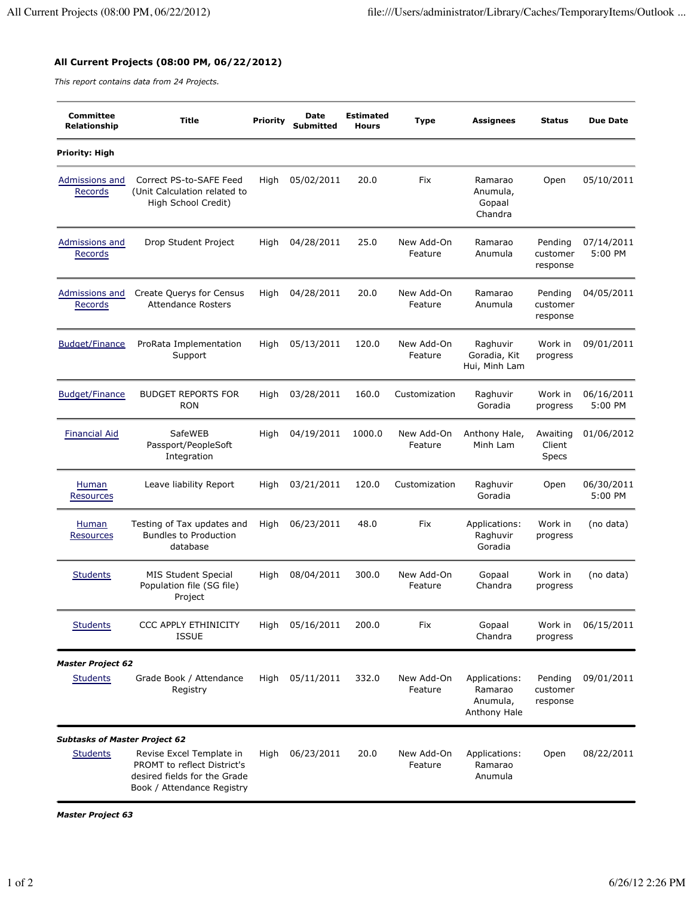## **All Current Projects (08:00 PM, 06/22/2012)**

*This report contains data from 24 Projects.*

| <b>Committee</b><br>Relationship     | <b>Title</b>                                                                                                          | <b>Priority</b> | Date<br>Submitted | <b>Estimated</b><br><b>Hours</b> | <b>Type</b>           | <b>Assignees</b>                                     | <b>Status</b>                      | <b>Due Date</b>       |
|--------------------------------------|-----------------------------------------------------------------------------------------------------------------------|-----------------|-------------------|----------------------------------|-----------------------|------------------------------------------------------|------------------------------------|-----------------------|
| Priority: High                       |                                                                                                                       |                 |                   |                                  |                       |                                                      |                                    |                       |
| Admissions and<br>Records            | Correct PS-to-SAFE Feed<br>(Unit Calculation related to<br>High School Credit)                                        | High            | 05/02/2011        | 20.0                             | Fix                   | Ramarao<br>Anumula,<br>Gopaal<br>Chandra             | Open                               | 05/10/2011            |
| Admissions and<br>Records            | Drop Student Project                                                                                                  | High            | 04/28/2011        | 25.0                             | New Add-On<br>Feature | Ramarao<br>Anumula                                   | Pending<br>customer<br>response    | 07/14/2011<br>5:00 PM |
| Admissions and<br>Records            | Create Querys for Census<br><b>Attendance Rosters</b>                                                                 | High            | 04/28/2011        | 20.0                             | New Add-On<br>Feature | Ramarao<br>Anumula                                   | Pending<br>customer<br>response    | 04/05/2011            |
| <b>Budget/Finance</b>                | ProRata Implementation<br>Support                                                                                     | High            | 05/13/2011        | 120.0                            | New Add-On<br>Feature | Raghuvir<br>Goradia, Kit<br>Hui, Minh Lam            | Work in<br>progress                | 09/01/2011            |
| <b>Budget/Finance</b>                | <b>BUDGET REPORTS FOR</b><br><b>RON</b>                                                                               | High            | 03/28/2011        | 160.0                            | Customization         | Raghuvir<br>Goradia                                  | Work in<br>progress                | 06/16/2011<br>5:00 PM |
| <b>Financial Aid</b>                 | SafeWEB<br>Passport/PeopleSoft<br>Integration                                                                         | High            | 04/19/2011        | 1000.0                           | New Add-On<br>Feature | Anthony Hale,<br>Minh Lam                            | Awaiting<br>Client<br><b>Specs</b> | 01/06/2012            |
| Human<br>Resources                   | Leave liability Report                                                                                                | High            | 03/21/2011        | 120.0                            | Customization         | Raghuvir<br>Goradia                                  | Open                               | 06/30/2011<br>5:00 PM |
| Human<br><b>Resources</b>            | Testing of Tax updates and<br><b>Bundles to Production</b><br>database                                                | High            | 06/23/2011        | 48.0                             | Fix                   | Applications:<br>Raghuvir<br>Goradia                 | Work in<br>progress                | (no data)             |
| <b>Students</b>                      | <b>MIS Student Special</b><br>Population file (SG file)<br>Project                                                    | High            | 08/04/2011        | 300.0                            | New Add-On<br>Feature | Gopaal<br>Chandra                                    | Work in<br>progress                | (no data)             |
| <b>Students</b>                      | <b>CCC APPLY ETHINICITY</b><br><b>ISSUE</b>                                                                           | High            | 05/16/2011        | 200.0                            | Fix                   | Gopaal<br>Chandra                                    | Work in<br>progress                | 06/15/2011            |
| <b>Master Project 62</b>             |                                                                                                                       |                 |                   |                                  |                       |                                                      |                                    |                       |
| <b>Students</b>                      | Grade Book / Attendance<br>Registry                                                                                   | High            | 05/11/2011        | 332.0                            | New Add-On<br>Feature | Applications:<br>Ramarao<br>Anumula,<br>Anthony Hale | Pending<br>customer<br>response    | 09/01/2011            |
| <b>Subtasks of Master Project 62</b> |                                                                                                                       |                 |                   |                                  |                       |                                                      |                                    |                       |
| <b>Students</b>                      | Revise Excel Template in<br>PROMT to reflect District's<br>desired fields for the Grade<br>Book / Attendance Registry | High            | 06/23/2011        | 20.0                             | New Add-On<br>Feature | Applications:<br>Ramarao<br>Anumula                  | Open                               | 08/22/2011            |

*Master Project 63*